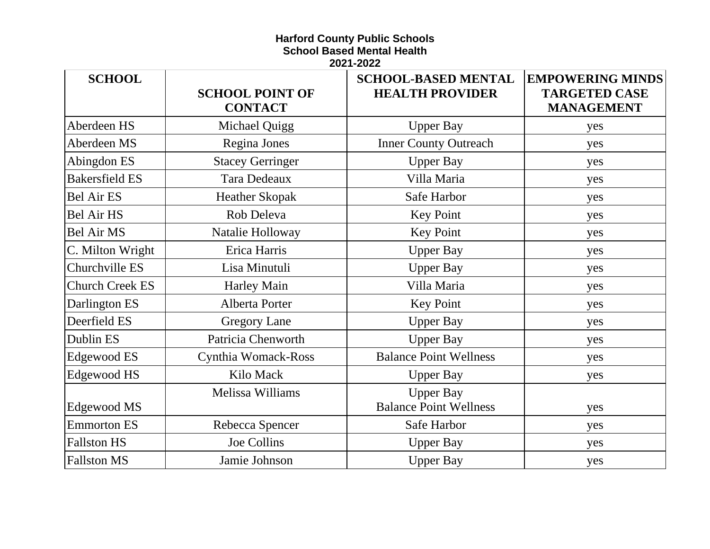## **Harford County Public Schools School Based Mental Health**

**2021-2022**

| <b>SCHOOL</b>          | <b>SCHOOL POINT OF</b><br><b>CONTACT</b> | <b>SCHOOL-BASED MENTAL</b><br><b>HEALTH PROVIDER</b> | <b>EMPOWERING MINDS</b><br><b>TARGETED CASE</b><br><b>MANAGEMENT</b> |
|------------------------|------------------------------------------|------------------------------------------------------|----------------------------------------------------------------------|
| Aberdeen HS            | Michael Quigg                            | <b>Upper Bay</b>                                     | yes                                                                  |
| Aberdeen MS            | Regina Jones                             | <b>Inner County Outreach</b>                         | yes                                                                  |
| Abingdon ES            | <b>Stacey Gerringer</b>                  | <b>Upper Bay</b>                                     | yes                                                                  |
| <b>Bakersfield ES</b>  | Tara Dedeaux                             | Villa Maria                                          | yes                                                                  |
| <b>Bel Air ES</b>      | <b>Heather Skopak</b>                    | Safe Harbor                                          | yes                                                                  |
| <b>Bel Air HS</b>      | Rob Deleva                               | <b>Key Point</b>                                     | yes                                                                  |
| <b>Bel Air MS</b>      | Natalie Holloway                         | <b>Key Point</b>                                     | yes                                                                  |
| C. Milton Wright       | Erica Harris                             | <b>Upper Bay</b>                                     | yes                                                                  |
| Churchville ES         | Lisa Minutuli                            | <b>Upper Bay</b>                                     | yes                                                                  |
| <b>Church Creek ES</b> | <b>Harley Main</b>                       | Villa Maria                                          | yes                                                                  |
| Darlington ES          | Alberta Porter                           | <b>Key Point</b>                                     | yes                                                                  |
| Deerfield ES           | <b>Gregory Lane</b>                      | <b>Upper Bay</b>                                     | yes                                                                  |
| Dublin ES              | Patricia Chenworth                       | <b>Upper Bay</b>                                     | yes                                                                  |
| Edgewood ES            | Cynthia Womack-Ross                      | <b>Balance Point Wellness</b>                        | yes                                                                  |
| Edgewood HS            | Kilo Mack                                | <b>Upper Bay</b>                                     | yes                                                                  |
| Edgewood MS            | Melissa Williams                         | <b>Upper Bay</b><br><b>Balance Point Wellness</b>    | yes                                                                  |
| <b>Emmorton ES</b>     | Rebecca Spencer                          | Safe Harbor                                          | yes                                                                  |
| <b>Fallston HS</b>     | Joe Collins                              | <b>Upper Bay</b>                                     | yes                                                                  |
| <b>Fallston MS</b>     | Jamie Johnson                            | <b>Upper Bay</b>                                     | yes                                                                  |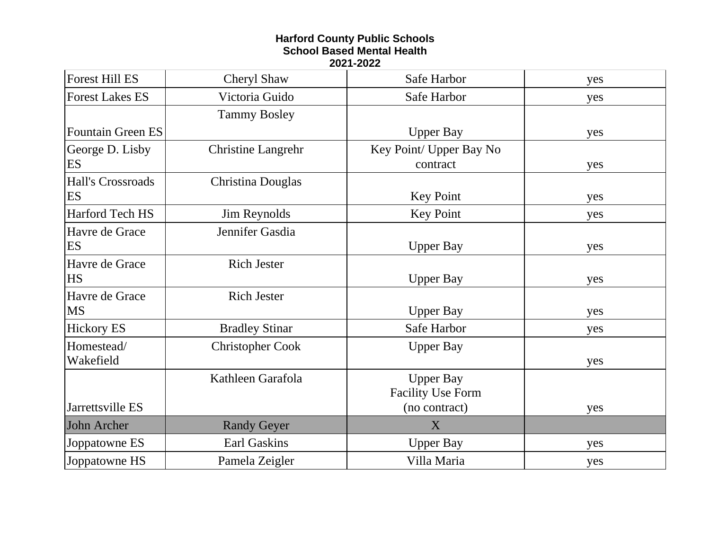## **Harford County Public Schools School Based Mental Health 2021-2022**

| <b>Forest Hill ES</b>    | Cheryl Shaw               | Safe Harbor              | yes |
|--------------------------|---------------------------|--------------------------|-----|
| <b>Forest Lakes ES</b>   | Victoria Guido            | Safe Harbor              | yes |
|                          | <b>Tammy Bosley</b>       |                          |     |
| <b>Fountain Green ES</b> |                           | <b>Upper Bay</b>         | yes |
| George D. Lisby          | <b>Christine Langrehr</b> | Key Point/ Upper Bay No  |     |
| ES                       |                           | contract                 | yes |
| Hall's Crossroads        | Christina Douglas         |                          |     |
| ES                       |                           | <b>Key Point</b>         | yes |
| Harford Tech HS          | Jim Reynolds              | <b>Key Point</b>         | yes |
| Havre de Grace           | Jennifer Gasdia           |                          |     |
| ES                       |                           | <b>Upper Bay</b>         | yes |
| Havre de Grace           | <b>Rich Jester</b>        |                          |     |
| <b>HS</b>                |                           | <b>Upper Bay</b>         | yes |
| Havre de Grace           | <b>Rich Jester</b>        |                          |     |
| <b>MS</b>                |                           | <b>Upper Bay</b>         | yes |
| <b>Hickory ES</b>        | <b>Bradley Stinar</b>     | Safe Harbor              | yes |
| Homestead/               | <b>Christopher Cook</b>   | <b>Upper Bay</b>         |     |
| Wakefield                |                           |                          | yes |
|                          | Kathleen Garafola         | <b>Upper Bay</b>         |     |
|                          |                           | <b>Facility Use Form</b> |     |
| Jarrettsville ES         |                           | (no contract)            | yes |
| John Archer              | <b>Randy Geyer</b>        | X                        |     |
| Joppatowne ES            | <b>Earl Gaskins</b>       | <b>Upper Bay</b>         | yes |
| Joppatowne HS            | Pamela Zeigler            | Villa Maria              | yes |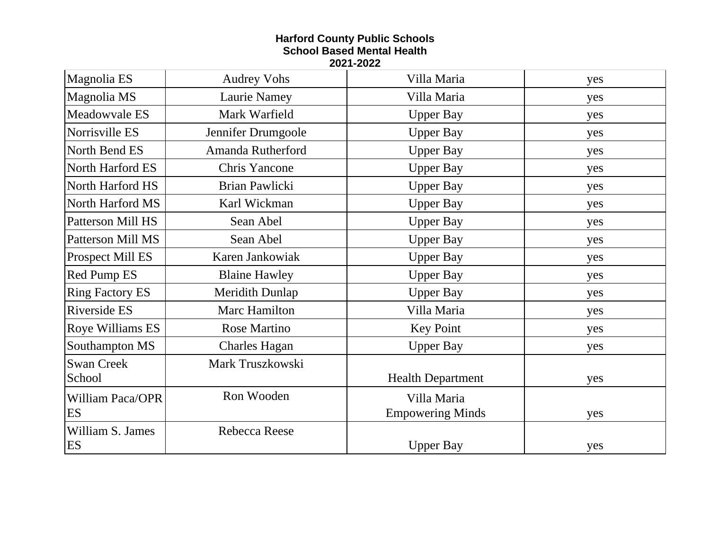## **Harford County Public Schools School Based Mental Health 2021-2022**

| Magnolia ES              | <b>Audrey Vohs</b>   | Villa Maria              | yes |
|--------------------------|----------------------|--------------------------|-----|
| Magnolia MS              | Laurie Namey         | Villa Maria              | yes |
| Meadowvale ES            | Mark Warfield        | <b>Upper Bay</b>         | yes |
| Norrisville ES           | Jennifer Drumgoole   | <b>Upper Bay</b>         | yes |
| North Bend ES            | Amanda Rutherford    | <b>Upper Bay</b>         | yes |
| North Harford ES         | <b>Chris Yancone</b> | <b>Upper Bay</b>         | yes |
| North Harford HS         | Brian Pawlicki       | <b>Upper Bay</b>         | yes |
| North Harford MS         | Karl Wickman         | <b>Upper Bay</b>         | yes |
| <b>Patterson Mill HS</b> | Sean Abel            | <b>Upper Bay</b>         | yes |
| Patterson Mill MS        | Sean Abel            | <b>Upper Bay</b>         | yes |
| Prospect Mill ES         | Karen Jankowiak      | <b>Upper Bay</b>         | yes |
| Red Pump ES              | <b>Blaine Hawley</b> | <b>Upper Bay</b>         | yes |
| <b>Ring Factory ES</b>   | Meridith Dunlap      | <b>Upper Bay</b>         | yes |
| Riverside ES             | Marc Hamilton        | Villa Maria              | yes |
| Roye Williams ES         | <b>Rose Martino</b>  | <b>Key Point</b>         | yes |
| Southampton MS           | <b>Charles Hagan</b> | <b>Upper Bay</b>         | yes |
| <b>Swan Creek</b>        | Mark Truszkowski     |                          |     |
| School                   |                      | <b>Health Department</b> | yes |
| <b>William Paca/OPR</b>  | Ron Wooden           | Villa Maria              |     |
| ES                       |                      | <b>Empowering Minds</b>  | yes |
| William S. James         | Rebecca Reese        |                          |     |
| ES                       |                      | <b>Upper Bay</b>         | yes |